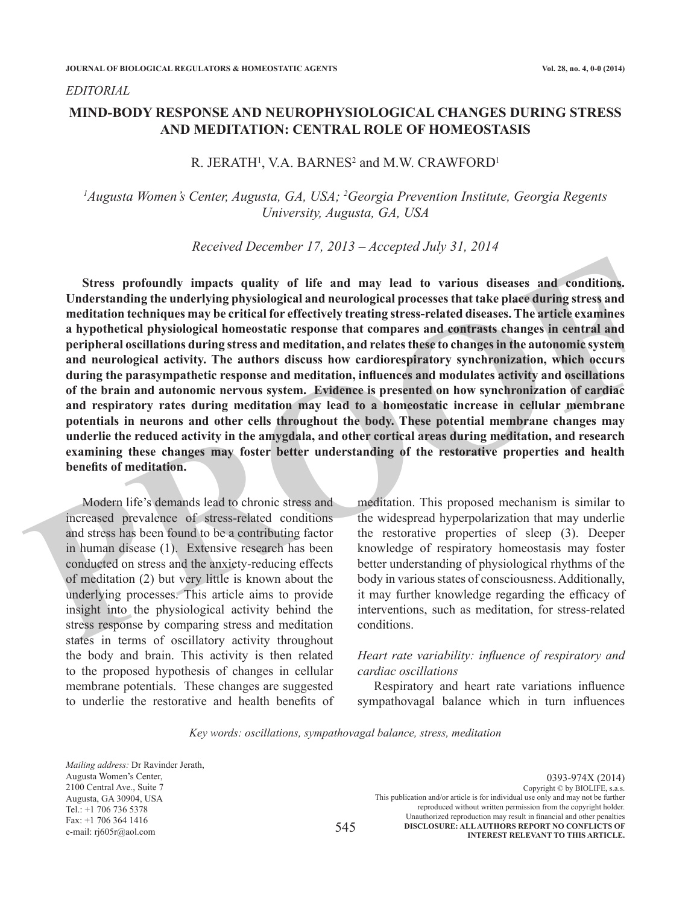*EDITORIAL*

# **MIND-BODY RESPONSE AND NEUROPHYSIOLOGICAL CHANGES DURING STRESS AND MEDITATION: CENTRAL ROLE OF HOMEOSTASIS**

## R. JERATH<sup>1</sup>, V.A. BARNES<sup>2</sup> and M.W. CRAWFORD<sup>1</sup>

# <sup>1</sup>Augusta Women's Center, Augusta, GA, USA; <sup>2</sup>Georgia Prevention Institute, Georgia Regents *University, Augusta, GA, USA*

*Received December 17, 2013 – Accepted July 31, 2014*

Stress profoundly impacts quality of life and may lead to various diseases and conditions,<br>Understanding the underlying physiological and neurological processes that take placed during stress and<br>mediation techniques may b **Stress profoundly impacts quality of life and may lead to various diseases and conditions. Understanding the underlying physiological and neurological processes that take place during stress and meditation techniques may be critical for effectively treating stress-related diseases. The article examines a hypothetical physiological homeostatic response that compares and contrasts changes in central and peripheral oscillations during stress and meditation, and relates these to changes in the autonomic system and neurological activity. The authors discuss how cardiorespiratory synchronization, which occurs during the parasympathetic response and meditation, influences and modulates activity and oscillations of the brain and autonomic nervous system. Evidence is presented on how synchronization of cardiac and respiratory rates during meditation may lead to a homeostatic increase in cellular membrane potentials in neurons and other cells throughout the body. These potential membrane changes may underlie the reduced activity in the amygdala, and other cortical areas during meditation, and research examining these changes may foster better understanding of the restorative properties and health benefits of meditation.**

Modern life's demands lead to chronic stress and increased prevalence of stress-related conditions and stress has been found to be a contributing factor in human disease (1). Extensive research has been conducted on stress and the anxiety-reducing effects of meditation (2) but very little is known about the underlying processes. This article aims to provide insight into the physiological activity behind the stress response by comparing stress and meditation states in terms of oscillatory activity throughout the body and brain. This activity is then related to the proposed hypothesis of changes in cellular membrane potentials. These changes are suggested to underlie the restorative and health benefits of

meditation. This proposed mechanism is similar to the widespread hyperpolarization that may underlie the restorative properties of sleep (3). Deeper knowledge of respiratory homeostasis may foster better understanding of physiological rhythms of the body in various states of consciousness. Additionally, it may further knowledge regarding the efficacy of interventions, such as meditation, for stress-related conditions.

# *Heart rate variability: influence of respiratory and cardiac oscillations*

Respiratory and heart rate variations influence sympathovagal balance which in turn influences

*Key words: oscillations, sympathovagal balance, stress, meditation*

0393-974X (2014) Copyright © by BIOLIFE, s.a.s. This publication and/or article is for individual use only and may not be further reproduced without written permission from the copyright holder. Unauthorized reproduction may result in financial and other penalties **DISCLOSURE: ALL AUTHORS REPORT NO CONFLICTS OF INTEREST RELEVANT TO THIS ARTICLE.** 545 *Mailing address:* Dr Ravinder Jerath, Augusta Women's Center, 2100 Central Ave., Suite 7 Augusta, GA 30904, USA Tel.: +1 706 736 5378 Fax: +1 706 364 1416 e-mail: rj605r@aol.com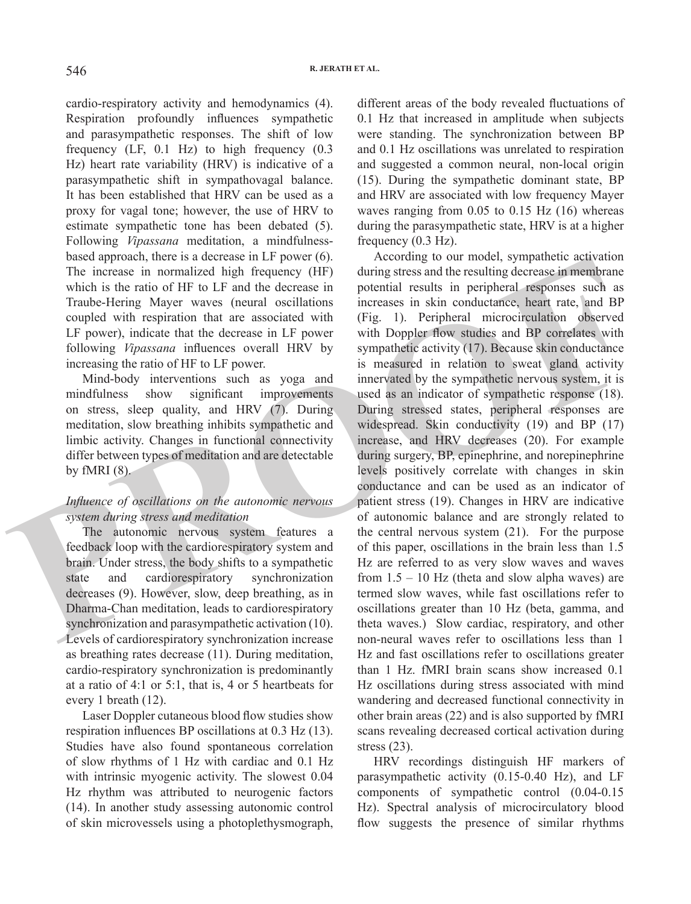cardio-respiratory activity and hemodynamics (4). Respiration profoundly influences sympathetic and parasympathetic responses. The shift of low frequency (LF, 0.1 Hz) to high frequency (0.3 Hz) heart rate variability (HRV) is indicative of a parasympathetic shift in sympathovagal balance. It has been established that HRV can be used as a proxy for vagal tone; however, the use of HRV to estimate sympathetic tone has been debated (5). Following *Vipassana* meditation, a mindfulnessbased approach, there is a decrease in LF power (6). The increase in normalized high frequency (HF) which is the ratio of HF to LF and the decrease in Traube-Hering Mayer waves (neural oscillations coupled with respiration that are associated with LF power), indicate that the decrease in LF power following *Vipassana* influences overall HRV by increasing the ratio of HF to LF power.

Mind-body interventions such as yoga and mindfulness show significant improvements on stress, sleep quality, and HRV (7). During meditation, slow breathing inhibits sympathetic and limbic activity. Changes in functional connectivity differ between types of meditation and are detectable by fMRI (8).

## *Influence of oscillations on the autonomic nervous system during stress and meditation*

The autonomic nervous system features a feedback loop with the cardiorespiratory system and brain. Under stress, the body shifts to a sympathetic state and cardiorespiratory synchronization decreases (9). However, slow, deep breathing, as in Dharma-Chan meditation, leads to cardiorespiratory synchronization and parasympathetic activation (10). Levels of cardiorespiratory synchronization increase as breathing rates decrease (11). During meditation, cardio-respiratory synchronization is predominantly at a ratio of 4:1 or 5:1, that is, 4 or 5 heartbeats for every 1 breath (12).

Laser Doppler cutaneous blood flow studies show respiration influences BP oscillations at 0.3 Hz (13). Studies have also found spontaneous correlation of slow rhythms of 1 Hz with cardiac and 0.1 Hz with intrinsic myogenic activity. The slowest 0.04 Hz rhythm was attributed to neurogenic factors (14). In another study assessing autonomic control of skin microvessels using a photoplethysmograph, different areas of the body revealed fluctuations of 0.1 Hz that increased in amplitude when subjects were standing. The synchronization between BP and 0.1 Hz oscillations was unrelated to respiration and suggested a common neural, non-local origin (15). During the sympathetic dominant state, BP and HRV are associated with low frequency Mayer waves ranging from 0.05 to 0.15 Hz (16) whereas during the parasympathetic state, HRV is at a higher frequency (0.3 Hz).

The interests a otecase in  $\mu$  protocom (i).<br>
The interests are chossed approach, then the interests in formalized high frequency (HF) during stress and the resulting decrease in membrane<br>
which is the ratio of HF to LF According to our model, sympathetic activation during stress and the resulting decrease in membrane potential results in peripheral responses such as increases in skin conductance, heart rate, and BP (Fig. 1). Peripheral microcirculation observed with Doppler flow studies and BP correlates with sympathetic activity (17). Because skin conductance is measured in relation to sweat gland activity innervated by the sympathetic nervous system, it is used as an indicator of sympathetic response (18). During stressed states, peripheral responses are widespread. Skin conductivity (19) and BP (17) increase, and HRV decreases (20). For example during surgery, BP, epinephrine, and norepinephrine levels positively correlate with changes in skin conductance and can be used as an indicator of patient stress (19). Changes in HRV are indicative of autonomic balance and are strongly related to the central nervous system (21). For the purpose of this paper, oscillations in the brain less than 1.5 Hz are referred to as very slow waves and waves from  $1.5 - 10$  Hz (theta and slow alpha waves) are termed slow waves, while fast oscillations refer to oscillations greater than 10 Hz (beta, gamma, and theta waves.) Slow cardiac, respiratory, and other non-neural waves refer to oscillations less than 1 Hz and fast oscillations refer to oscillations greater than 1 Hz. fMRI brain scans show increased 0.1 Hz oscillations during stress associated with mind wandering and decreased functional connectivity in other brain areas (22) and is also supported by fMRI scans revealing decreased cortical activation during stress (23).

> HRV recordings distinguish HF markers of parasympathetic activity (0.15-0.40 Hz), and LF components of sympathetic control (0.04-0.15 Hz). Spectral analysis of microcirculatory blood flow suggests the presence of similar rhythms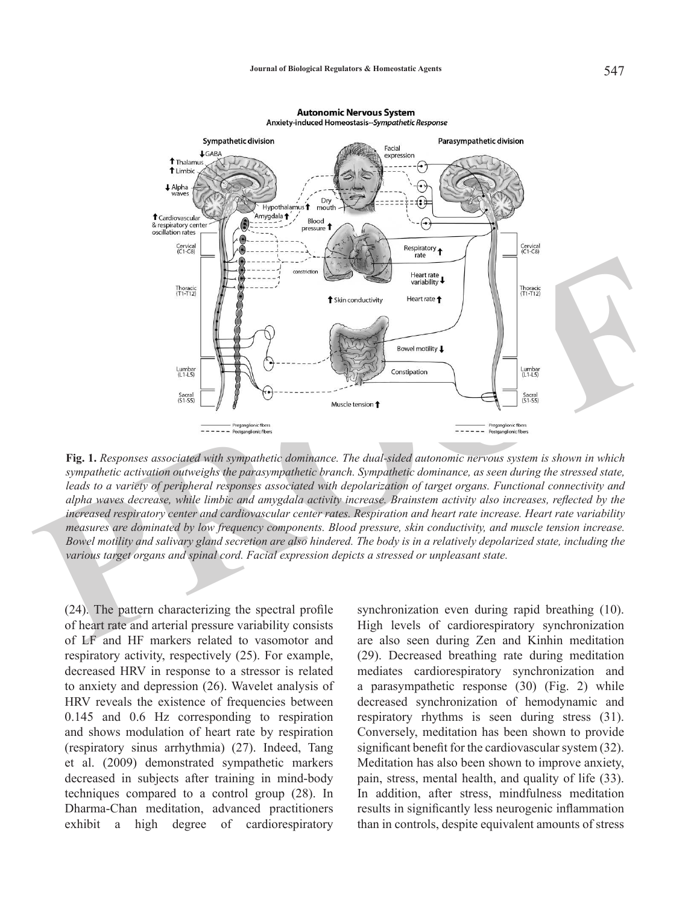

**Autonomic Nervous System** 

**Fig. 1.** *Responses associated with sympathetic dominance. The dual-sided autonomic nervous system is shown in which sympathetic activation outweighs the parasympathetic branch. Sympathetic dominance, as seen during the stressed state, leads to a variety of peripheral responses associated with depolarization of target organs. Functional connectivity and alpha waves decrease, while limbic and amygdala activity increase. Brainstem activity also increases, reflected by the increased respiratory center and cardiovascular center rates. Respiration and heart rate increase. Heart rate variability measures are dominated by low frequency components. Blood pressure, skin conductivity, and muscle tension increase. Bowel motility and salivary gland secretion are also hindered. The body is in a relatively depolarized state, including the various target organs and spinal cord. Facial expression depicts a stressed or unpleasant state.* 

(24). The pattern characterizing the spectral profile of heart rate and arterial pressure variability consists of LF and HF markers related to vasomotor and respiratory activity, respectively (25). For example, decreased HRV in response to a stressor is related to anxiety and depression (26). Wavelet analysis of HRV reveals the existence of frequencies between 0.145 and 0.6 Hz corresponding to respiration and shows modulation of heart rate by respiration (respiratory sinus arrhythmia) (27). Indeed, Tang et al. (2009) demonstrated sympathetic markers decreased in subjects after training in mind-body techniques compared to a control group (28). In Dharma-Chan meditation, advanced practitioners exhibit a high degree of cardiorespiratory

synchronization even during rapid breathing (10). High levels of cardiorespiratory synchronization are also seen during Zen and Kinhin meditation (29). Decreased breathing rate during meditation mediates cardiorespiratory synchronization and a parasympathetic response (30) (Fig. 2) while decreased synchronization of hemodynamic and respiratory rhythms is seen during stress (31). Conversely, meditation has been shown to provide significant benefit for the cardiovascular system (32). Meditation has also been shown to improve anxiety, pain, stress, mental health, and quality of life (33). In addition, after stress, mindfulness meditation results in significantly less neurogenic inflammation than in controls, despite equivalent amounts of stress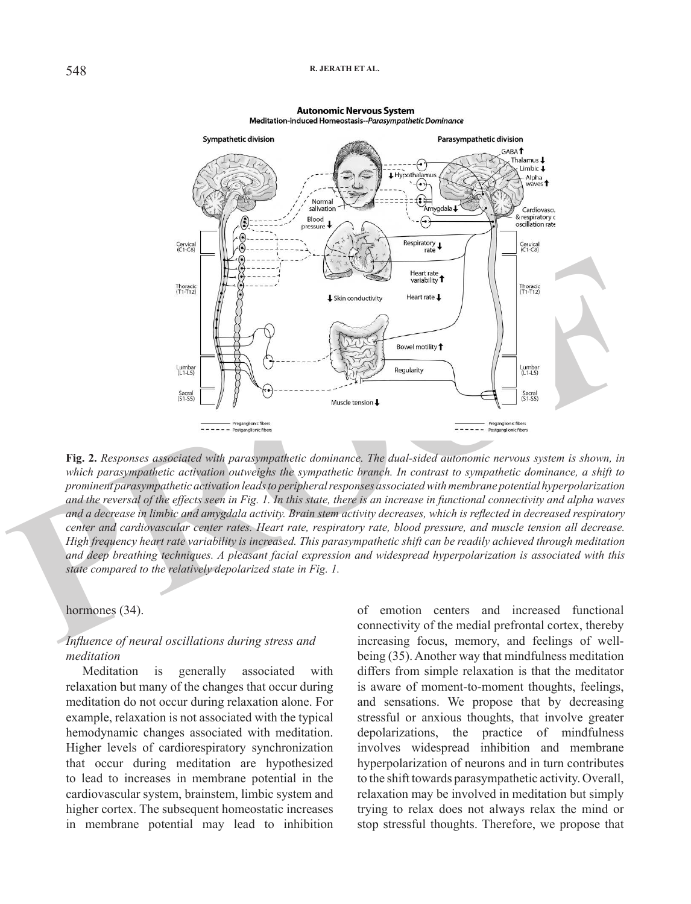#### **R. JERATH ET AL.**



#### **Autonomic Nervous System** Meditation-induced Homeostasis--Parasympathetic Dominance

**Fig. 2.** *Responses associated with parasympathetic dominance. The dual-sided autonomic nervous system is shown, in which parasympathetic activation outweighs the sympathetic branch. In contrast to sympathetic dominance, a shift to prominent parasympathetic activation leads to peripheral responses associated with membrane potential hyperpolarization and the reversal of the effects seen in Fig. 1. In this state, there is an increase in functional connectivity and alpha waves and a decrease in limbic and amygdala activity. Brain stem activity decreases, which is reflected in decreased respiratory center and cardiovascular center rates. Heart rate, respiratory rate, blood pressure, and muscle tension all decrease. High frequency heart rate variability is increased. This parasympathetic shift can be readily achieved through meditation and deep breathing techniques. A pleasant facial expression and widespread hyperpolarization is associated with this state compared to the relatively depolarized state in Fig. 1.*

### hormones (34).

## *Influence of neural oscillations during stress and meditation*

Meditation is generally associated with relaxation but many of the changes that occur during meditation do not occur during relaxation alone. For example, relaxation is not associated with the typical hemodynamic changes associated with meditation. Higher levels of cardiorespiratory synchronization that occur during meditation are hypothesized to lead to increases in membrane potential in the cardiovascular system, brainstem, limbic system and higher cortex. The subsequent homeostatic increases in membrane potential may lead to inhibition of emotion centers and increased functional connectivity of the medial prefrontal cortex, thereby increasing focus, memory, and feelings of wellbeing (35). Another way that mindfulness meditation differs from simple relaxation is that the meditator is aware of moment-to-moment thoughts, feelings, and sensations. We propose that by decreasing stressful or anxious thoughts, that involve greater depolarizations, the practice of mindfulness involves widespread inhibition and membrane hyperpolarization of neurons and in turn contributes to the shift towards parasympathetic activity. Overall, relaxation may be involved in meditation but simply trying to relax does not always relax the mind or stop stressful thoughts. Therefore, we propose that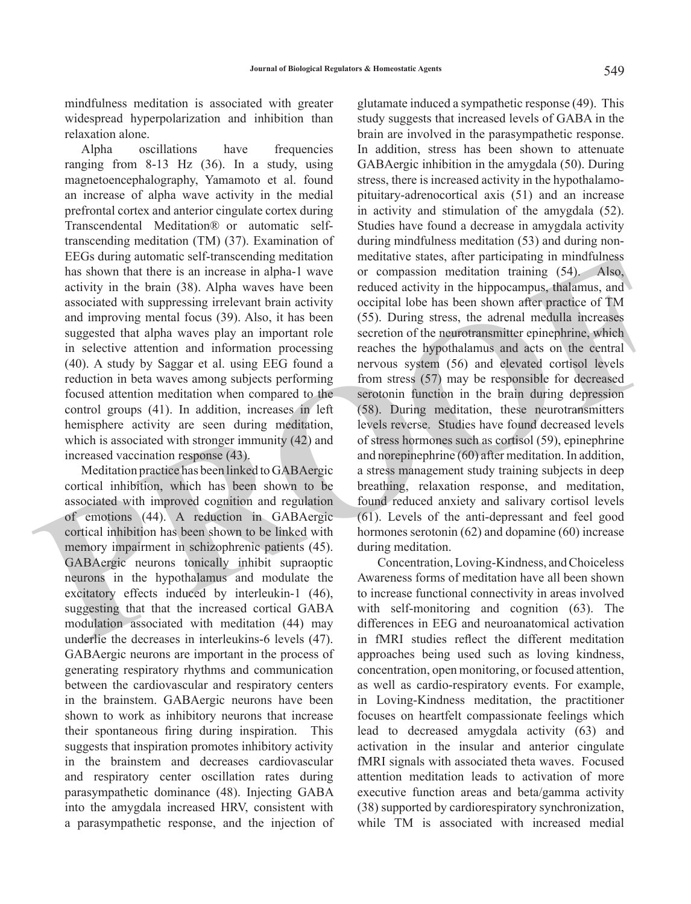mindfulness meditation is associated with greater widespread hyperpolarization and inhibition than relaxation alone.

Alpha oscillations have frequencies ranging from 8-13 Hz (36). In a study, using magnetoencephalography, Yamamoto et al. found an increase of alpha wave activity in the medial prefrontal cortex and anterior cingulate cortex during Transcendental Meditation® or automatic selftranscending meditation (TM) (37). Examination of EEGs during automatic self-transcending meditation has shown that there is an increase in alpha-1 wave activity in the brain (38). Alpha waves have been associated with suppressing irrelevant brain activity and improving mental focus (39). Also, it has been suggested that alpha waves play an important role in selective attention and information processing (40). A study by Saggar et al. using EEG found a reduction in beta waves among subjects performing focused attention meditation when compared to the control groups (41). In addition, increases in left hemisphere activity are seen during meditation, which is associated with stronger immunity (42) and increased vaccination response (43).

Meditation practice has been linked to GABAergic cortical inhibition, which has been shown to be associated with improved cognition and regulation of emotions (44). A reduction in GABAergic cortical inhibition has been shown to be linked with memory impairment in schizophrenic patients (45). GABAergic neurons tonically inhibit supraoptic neurons in the hypothalamus and modulate the excitatory effects induced by interleukin-1 (46), suggesting that that the increased cortical GABA modulation associated with meditation (44) may underlie the decreases in interleukins-6 levels (47). GABAergic neurons are important in the process of generating respiratory rhythms and communication between the cardiovascular and respiratory centers in the brainstem. GABAergic neurons have been shown to work as inhibitory neurons that increase their spontaneous firing during inspiration. This suggests that inspiration promotes inhibitory activity in the brainstem and decreases cardiovascular and respiratory center oscillation rates during parasympathetic dominance (48). Injecting GABA into the amygdala increased HRV, consistent with a parasympathetic response, and the injection of

Encos during anomalon several mechanical mechanical mechanical mechanical mechanical mechanical mechanical mechanical mechanical mechanical anomalon anomalon anomalon anomalon anomalon anomalon anomalon anomalon anomalon a glutamate induced a sympathetic response (49). This study suggests that increased levels of GABA in the brain are involved in the parasympathetic response. In addition, stress has been shown to attenuate GABAergic inhibition in the amygdala (50). During stress, there is increased activity in the hypothalamopituitary-adrenocortical axis (51) and an increase in activity and stimulation of the amygdala (52). Studies have found a decrease in amygdala activity during mindfulness meditation (53) and during nonmeditative states, after participating in mindfulness or compassion meditation training (54). Also, reduced activity in the hippocampus, thalamus, and occipital lobe has been shown after practice of TM (55). During stress, the adrenal medulla increases secretion of the neurotransmitter epinephrine, which reaches the hypothalamus and acts on the central nervous system (56) and elevated cortisol levels from stress (57) may be responsible for decreased serotonin function in the brain during depression (58). During meditation, these neurotransmitters levels reverse. Studies have found decreased levels of stress hormones such as cortisol (59), epinephrine and norepinephrine (60) after meditation. In addition, a stress management study training subjects in deep breathing, relaxation response, and meditation, found reduced anxiety and salivary cortisol levels (61). Levels of the anti-depressant and feel good hormones serotonin (62) and dopamine (60) increase during meditation.

 Concentration, Loving-Kindness, and Choiceless Awareness forms of meditation have all been shown to increase functional connectivity in areas involved with self-monitoring and cognition (63). The differences in EEG and neuroanatomical activation in fMRI studies reflect the different meditation approaches being used such as loving kindness, concentration, open monitoring, or focused attention, as well as cardio-respiratory events. For example, in Loving-Kindness meditation, the practitioner focuses on heartfelt compassionate feelings which lead to decreased amygdala activity (63) and activation in the insular and anterior cingulate fMRI signals with associated theta waves. Focused attention meditation leads to activation of more executive function areas and beta/gamma activity (38) supported by cardiorespiratory synchronization, while TM is associated with increased medial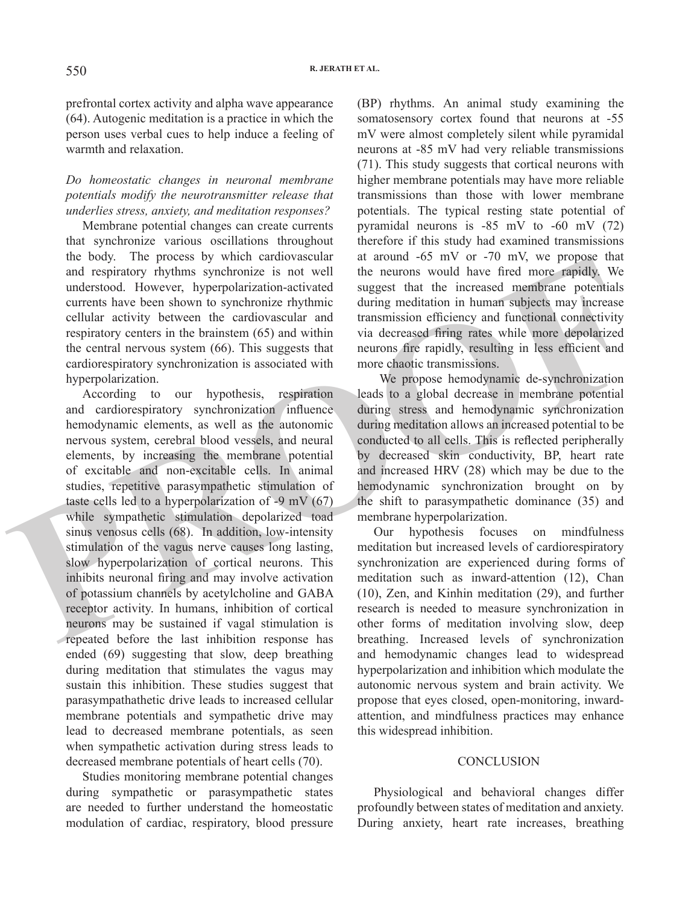prefrontal cortex activity and alpha wave appearance (64). Autogenic meditation is a practice in which the person uses verbal cues to help induce a feeling of warmth and relaxation.

## *Do homeostatic changes in neuronal membrane potentials modify the neurotransmitter release that underlies stress, anxiety, and meditation responses?*

Membrane potential changes can create currents that synchronize various oscillations throughout the body. The process by which cardiovascular and respiratory rhythms synchronize is not well understood. However, hyperpolarization-activated currents have been shown to synchronize rhythmic cellular activity between the cardiovascular and respiratory centers in the brainstem (65) and within the central nervous system (66). This suggests that cardiorespiratory synchronization is associated with hyperpolarization.

and respiration photos by which candovasced<br>and respiratory flythms synchronize is not well the neurons would have fired more rapidly. We<br>understood. However, hyperpolarization-activated suggest that the increased membrane According to our hypothesis, respiration and cardiorespiratory synchronization influence hemodynamic elements, as well as the autonomic nervous system, cerebral blood vessels, and neural elements, by increasing the membrane potential of excitable and non-excitable cells. In animal studies, repetitive parasympathetic stimulation of taste cells led to a hyperpolarization of -9 mV (67) while sympathetic stimulation depolarized toad sinus venosus cells (68). In addition, low-intensity stimulation of the vagus nerve causes long lasting, slow hyperpolarization of cortical neurons. This inhibits neuronal firing and may involve activation of potassium channels by acetylcholine and GABA receptor activity. In humans, inhibition of cortical neurons may be sustained if vagal stimulation is repeated before the last inhibition response has ended (69) suggesting that slow, deep breathing during meditation that stimulates the vagus may sustain this inhibition. These studies suggest that parasympathathetic drive leads to increased cellular membrane potentials and sympathetic drive may lead to decreased membrane potentials, as seen when sympathetic activation during stress leads to decreased membrane potentials of heart cells (70).

Studies monitoring membrane potential changes during sympathetic or parasympathetic states are needed to further understand the homeostatic modulation of cardiac, respiratory, blood pressure

(BP) rhythms. An animal study examining the somatosensory cortex found that neurons at -55 mV were almost completely silent while pyramidal neurons at -85 mV had very reliable transmissions (71). This study suggests that cortical neurons with higher membrane potentials may have more reliable transmissions than those with lower membrane potentials. The typical resting state potential of pyramidal neurons is -85 mV to -60 mV (72) therefore if this study had examined transmissions at around -65 mV or -70 mV, we propose that the neurons would have fired more rapidly. We suggest that the increased membrane potentials during meditation in human subjects may increase transmission efficiency and functional connectivity via decreased firing rates while more depolarized neurons fire rapidly, resulting in less efficient and more chaotic transmissions.

We propose hemodynamic de-synchronization leads to a global decrease in membrane potential during stress and hemodynamic synchronization during meditation allows an increased potential to be conducted to all cells. This is reflected peripherally by decreased skin conductivity, BP, heart rate and increased HRV (28) which may be due to the hemodynamic synchronization brought on by the shift to parasympathetic dominance (35) and membrane hyperpolarization.

Our hypothesis focuses on mindfulness meditation but increased levels of cardiorespiratory synchronization are experienced during forms of meditation such as inward-attention (12), Chan (10), Zen, and Kinhin meditation (29), and further research is needed to measure synchronization in other forms of meditation involving slow, deep breathing. Increased levels of synchronization and hemodynamic changes lead to widespread hyperpolarization and inhibition which modulate the autonomic nervous system and brain activity. We propose that eyes closed, open-monitoring, inwardattention, and mindfulness practices may enhance this widespread inhibition.

### **CONCLUSION**

Physiological and behavioral changes differ profoundly between states of meditation and anxiety. During anxiety, heart rate increases, breathing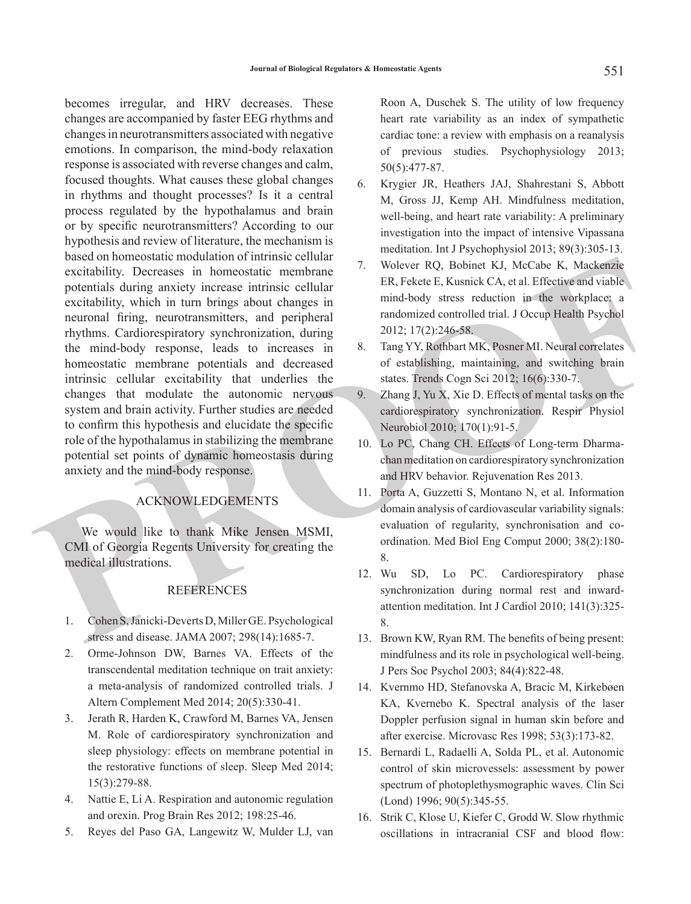osacu orionesosacu houtanismo centrale centrale encodes and point and particular particular particular particular ER, Existence Existence in the encode excitability, which in turn brings about changes in  $\frac{1}{2}$  central becomes irregular, and HRV decreases. These changes are accompanied by faster EEG rhythms and changes in neurotransmitters associated with negative emotions. In comparison, the mind-body relaxation response is associated with reverse changes and calm, focused thoughts. What causes these global changes in rhythms and thought processes? Is it a central process regulated by the hypothalamus and brain or by specific neurotransmitters? According to our hypothesis and review of literature, the mechanism is based on homeostatic modulation of intrinsic cellular excitability. Decreases in homeostatic membrane potentials during anxiety increase intrinsic cellular excitability, which in turn brings about changes in neuronal firing, neurotransmitters, and peripheral rhythms. Cardiorespiratory synchronization, during the mind-body response, leads to increases in homeostatic membrane potentials and decreased intrinsic cellular excitability that underlies the changes that modulate the autonomic nervous system and brain activity. Further studies are needed to confirm this hypothesis and elucidate the specific role of the hypothalamus in stabilizing the membrane potential set points of dynamic homeostasis during anxiety and the mind-body response.

## ACKNOWLEDGEMENTS

We would like to thank Mike Jensen MSMI, CMI of Georgia Regents University for creating the medical illustrations.

## REFERENCES

- 1. Cohen S, Janicki-Deverts D, Miller GE. Psychological stress and disease. JAMA 2007; 298(14):1685-7.
- 2. Orme-Johnson DW, Barnes VA. Effects of the transcendental meditation technique on trait anxiety: a meta-analysis of randomized controlled trials. J Altern Complement Med 2014; 20(5):330-41.
- 3. Jerath R, Harden K, Crawford M, Barnes VA, Jensen M. Role of cardiorespiratory synchronization and sleep physiology: effects on membrane potential in the restorative functions of sleep. Sleep Med 2014; 15(3):279-88.
- 4. Nattie E, Li A. Respiration and autonomic regulation and orexin. Prog Brain Res 2012; 198:25-46.
- 5. Reyes del Paso GA, Langewitz W, Mulder LJ, van

Roon A, Duschek S. The utility of low frequency heart rate variability as an index of sympathetic cardiac tone: a review with emphasis on a reanalysis of previous studies. Psychophysiology 2013; 50(5):477-87.

- 6. Krygier JR, Heathers JAJ, Shahrestani S, Abbott M, Gross JJ, Kemp AH. Mindfulness meditation, well-being, and heart rate variability: A preliminary investigation into the impact of intensive Vipassana meditation. Int J Psychophysiol 2013; 89(3):305-13.
- 7. Wolever RQ, Bobinet KJ, McCabe K, Mackenzie ER, Fekete E, Kusnick CA, et al. Effective and viable mind-body stress reduction in the workplace: a randomized controlled trial. J Occup Health Psychol 2012; 17(2):246-58.
- 8. Tang YY, Rothbart MK, Posner MI. Neural correlates of establishing, maintaining, and switching brain states. Trends Cogn Sci 2012; 16(6):330-7.
- 9. Zhang J, Yu X, Xie D. Effects of mental tasks on the cardiorespiratory synchronization. Respir Physiol Neurobiol 2010; 170(1):91-5.
- 10. Lo PC, Chang CH. Effects of Long-term Dharmachan meditation on cardiorespiratory synchronization and HRV behavior. Rejuvenation Res 2013.
- 11. Porta A, Guzzetti S, Montano N, et al. Information domain analysis of cardiovascular variability signals: evaluation of regularity, synchronisation and coordination. Med Biol Eng Comput 2000; 38(2):180- 8.
- 12. Wu SD, Lo PC. Cardiorespiratory phase synchronization during normal rest and inwardattention meditation. Int J Cardiol 2010; 141(3):325- 8.
- 13. Brown KW, Ryan RM. The benefits of being present: mindfulness and its role in psychological well-being. J Pers Soc Psychol 2003; 84(4):822-48.
- 14. Kvernmo HD, Stefanovska A, Bracic M, Kirkebøen KA, Kvernebo K. Spectral analysis of the laser Doppler perfusion signal in human skin before and after exercise. Microvasc Res 1998; 53(3):173-82.
- 15. Bernardi L, Radaelli A, Solda PL, et al. Autonomic control of skin microvessels: assessment by power spectrum of photoplethysmographic waves. Clin Sci (Lond) 1996; 90(5):345-55.
- 16. Strik C, Klose U, Kiefer C, Grodd W. Slow rhythmic oscillations in intracranial CSF and blood flow: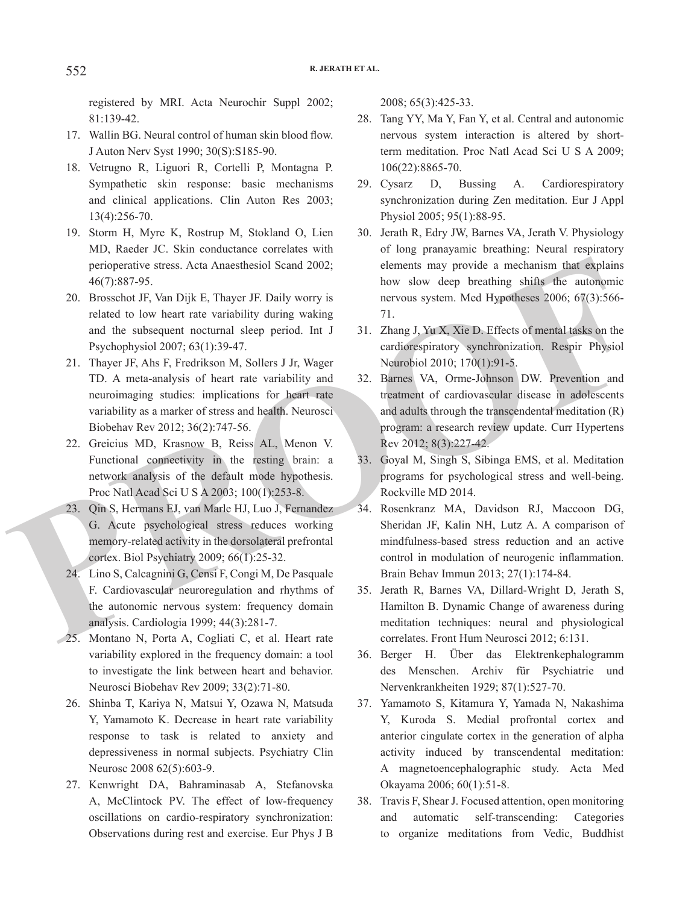registered by MRI. Acta Neurochir Suppl 2002; 81:139-42.

- 17. Wallin BG. Neural control of human skin blood flow. J Auton Nerv Syst 1990; 30(S):S185-90.
- 18. Vetrugno R, Liguori R, Cortelli P, Montagna P. Sympathetic skin response: basic mechanisms and clinical applications. Clin Auton Res 2003; 13(4):256-70.
- 19. Storm H, Myre K, Rostrup M, Stokland O, Lien MD, Raeder JC. Skin conductance correlates with perioperative stress. Acta Anaesthesiol Scand 2002; 46(7):887-95.
- 20. Brosschot JF, Van Dijk E, Thayer JF. Daily worry is related to low heart rate variability during waking and the subsequent nocturnal sleep period. Int J Psychophysiol 2007; 63(1):39-47.
- 21. Thayer JF, Ahs F, Fredrikson M, Sollers J Jr, Wager TD. A meta-analysis of heart rate variability and neuroimaging studies: implications for heart rate variability as a marker of stress and health. Neurosci Biobehav Rev 2012; 36(2):747-56.
- 22. Greicius MD, Krasnow B, Reiss AL, Menon V. Functional connectivity in the resting brain: a network analysis of the default mode hypothesis. Proc Natl Acad Sci U S A 2003; 100(1):253-8.
- 23. Qin S, Hermans EJ, van Marle HJ, Luo J, Fernandez G. Acute psychological stress reduces working memory-related activity in the dorsolateral prefrontal cortex. Biol Psychiatry 2009; 66(1):25-32.
- 24. Lino S, Calcagnini G, Censi F, Congi M, De Pasquale F. Cardiovascular neuroregulation and rhythms of the autonomic nervous system: frequency domain analysis. Cardiologia 1999; 44(3):281-7.
- 25. Montano N, Porta A, Cogliati C, et al. Heart rate variability explored in the frequency domain: a tool to investigate the link between heart and behavior. Neurosci Biobehav Rev 2009; 33(2):71-80.
	- 26. Shinba T, Kariya N, Matsui Y, Ozawa N, Matsuda Y, Yamamoto K. Decrease in heart rate variability response to task is related to anxiety and depressiveness in normal subjects. Psychiatry Clin Neurosc 2008 62(5):603-9.
	- 27. Kenwright DA, Bahraminasab A, Stefanovska A, McClintock PV. The effect of low-frequency oscillations on cardio-respiratory synchronization: Observations during rest and exercise. Eur Phys J B

2008; 65(3):425-33.

- 28. Tang YY, Ma Y, Fan Y, et al. Central and autonomic nervous system interaction is altered by shortterm meditation. Proc Natl Acad Sci U S A 2009; 106(22):8865-70.
- 29. Cysarz D, Bussing A. Cardiorespiratory synchronization during Zen meditation. Eur J Appl Physiol 2005; 95(1):88-95.
- 30. Jerath R, Edry JW, Barnes VA, Jerath V. Physiology of long pranayamic breathing: Neural respiratory elements may provide a mechanism that explains how slow deep breathing shifts the autonomic nervous system. Med Hypotheses 2006; 67(3):566- 71.
- 31. Zhang J, Yu X, Xie D. Effects of mental tasks on the cardiorespiratory synchronization. Respir Physiol Neurobiol 2010; 170(1):91-5.
- 32. Barnes VA, Orme-Johnson DW. Prevention and treatment of cardiovascular disease in adolescents and adults through the transcendental meditation (R) program: a research review update. Curr Hypertens Rev 2012; 8(3):227-42.
- 33. Goyal M, Singh S, Sibinga EMS, et al. Meditation programs for psychological stress and well-being. Rockville MD 2014.
- perioperative stress. Acta Anaeschesiol Scand 2002;<br>
denents may provide a mechanism that explains<br>
20. Brosschot JF, Van Dijk F, Thayer JF. Daily worry is<br>
nervous system. Med Hypotheses 2006; 67(3):566-<br>
related to low h 34. Rosenkranz MA, Davidson RJ, Maccoon DG, Sheridan JF, Kalin NH, Lutz A. A comparison of mindfulness-based stress reduction and an active control in modulation of neurogenic inflammation. Brain Behav Immun 2013; 27(1):174-84.
	- 35. Jerath R, Barnes VA, Dillard-Wright D, Jerath S, Hamilton B. Dynamic Change of awareness during meditation techniques: neural and physiological correlates. Front Hum Neurosci 2012; 6:131.
	- 36. Berger H. Über das Elektrenkephalogramm des Menschen. Archiv für Psychiatrie und Nervenkrankheiten 1929; 87(1):527-70.
	- 37. Yamamoto S, Kitamura Y, Yamada N, Nakashima Y, Kuroda S. Medial profrontal cortex and anterior cingulate cortex in the generation of alpha activity induced by transcendental meditation: A magnetoencephalographic study. Acta Med Okayama 2006; 60(1):51-8.
	- 38. Travis F, Shear J. Focused attention, open monitoring and automatic self-transcending: Categories to organize meditations from Vedic, Buddhist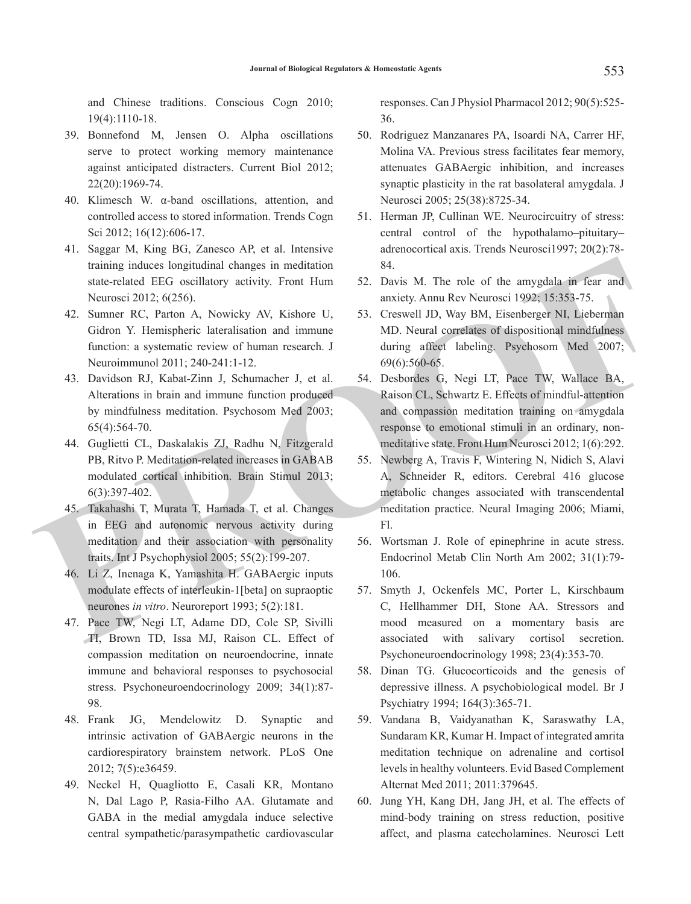and Chinese traditions. Conscious Cogn 2010; 19(4):1110-18.

- 39. Bonnefond M, Jensen O. Alpha oscillations serve to protect working memory maintenance against anticipated distracters. Current Biol 2012; 22(20):1969-74.
- 40. Klimesch W. α-band oscillations, attention, and controlled access to stored information. Trends Cogn Sci 2012; 16(12):606-17.
- 41. Saggar M, King BG, Zanesco AP, et al. Intensive training induces longitudinal changes in meditation state-related EEG oscillatory activity. Front Hum Neurosci 2012; 6(256).
- 42. Sumner RC, Parton A, Nowicky AV, Kishore U, Gidron Y. Hemispheric lateralisation and immune function: a systematic review of human research. J Neuroimmunol 2011; 240-241:1-12.
- 43. Davidson RJ, Kabat-Zinn J, Schumacher J, et al. Alterations in brain and immune function produced by mindfulness meditation. Psychosom Med 2003; 65(4):564-70.
- 44. Guglietti CL, Daskalakis ZJ, Radhu N, Fitzgerald PB, Ritvo P. Meditation-related increases in GABAB modulated cortical inhibition. Brain Stimul 2013; 6(3):397-402.
- 45. Takahashi T, Murata T, Hamada T, et al. Changes in EEG and autonomic nervous activity during meditation and their association with personality traits. Int J Psychophysiol 2005; 55(2):199-207.
- 46. Li Z, Inenaga K, Yamashita H. GABAergic inputs modulate effects of interleukin-1[beta] on supraoptic neurones *in vitro*. Neuroreport 1993; 5(2):181.
- 47. Pace TW, Negi LT, Adame DD, Cole SP, Sivilli TI, Brown TD, Issa MJ, Raison CL. Effect of compassion meditation on neuroendocrine, innate immune and behavioral responses to psychosocial stress. Psychoneuroendocrinology 2009; 34(1):87- 98.
- 48. Frank JG, Mendelowitz D. Synaptic and intrinsic activation of GABAergic neurons in the cardiorespiratory brainstem network. PLoS One 2012; 7(5):e36459.
- 49. Neckel H, Quagliotto E, Casali KR, Montano N, Dal Lago P, Rasia-Filho AA. Glutamate and GABA in the medial amygdala induce selective central sympathetic/parasympathetic cardiovascular

responses. Can J Physiol Pharmacol 2012; 90(5):525- 36.

- 50. Rodriguez Manzanares PA, Isoardi NA, Carrer HF, Molina VA. Previous stress facilitates fear memory, attenuates GABAergic inhibition, and increases synaptic plasticity in the rat basolateral amygdala. J Neurosci 2005; 25(38):8725-34.
- 51. Herman JP, Cullinan WE. Neurocircuitry of stress: central control of the hypothalamo–pituitary– adrenocortical axis. Trends Neurosci1997; 20(2):78- 84.
- 52. Davis M. The role of the amygdala in fear and anxiety. Annu Rev Neurosci 1992; 15:353-75.
- 53. Creswell JD, Way BM, Eisenberger NI, Lieberman MD. Neural correlates of dispositional mindfulness during affect labeling. Psychosom Med 2007; 69(6):560-65.
- 54. Desbordes G, Negi LT, Pace TW, Wallace BA, Raison CL, Schwartz E. Effects of mindful-attention and compassion meditation training on amygdala response to emotional stimuli in an ordinary, nonmeditative state. Front Hum Neurosci 2012; 1(6):292.
- training induces longitudinal changes in meditation<br>
State-related EEG ossellatory activity. Front Hum 52. Davis M. The role of the amygdala in foar and<br>
Neurosci 2012; 6(256).<br>
42. Summer RC, Particon A, Novicky AN, Kisho 55. Newberg A, Travis F, Wintering N, Nidich S, Alavi A, Schneider R, editors. Cerebral 416 glucose metabolic changes associated with transcendental meditation practice. Neural Imaging 2006; Miami, Fl.
	- 56. Wortsman J. Role of epinephrine in acute stress. Endocrinol Metab Clin North Am 2002; 31(1):79- 106.
	- 57. Smyth J, Ockenfels MC, Porter L, Kirschbaum C, Hellhammer DH, Stone AA. Stressors and mood measured on a momentary basis are associated with salivary cortisol secretion. Psychoneuroendocrinology 1998; 23(4):353-70.
	- 58. Dinan TG. Glucocorticoids and the genesis of depressive illness. A psychobiological model. Br J Psychiatry 1994; 164(3):365-71.
	- 59. Vandana B, Vaidyanathan K, Saraswathy LA, Sundaram KR, Kumar H. Impact of integrated amrita meditation technique on adrenaline and cortisol levels in healthy volunteers. Evid Based Complement Alternat Med 2011; 2011:379645.
	- 60. Jung YH, Kang DH, Jang JH, et al. The effects of mind-body training on stress reduction, positive affect, and plasma catecholamines. Neurosci Lett